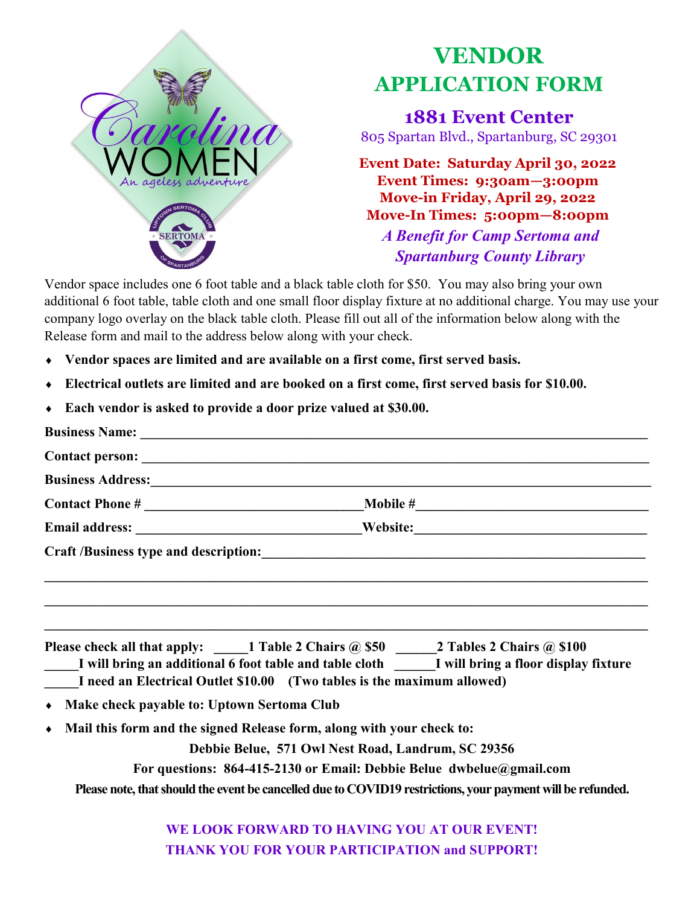

## **VENDOR APPLICATION FORM**

**1881 Event Center** 805 Spartan Blvd., Spartanburg, SC 29301

**Event Date: Saturday April 30, 2022 Event Times: 9:30am—3:00pm Move-in Friday, April 29, 2022 Move-In Times: 5:00pm—8:00pm** *A Benefit for Camp Sertoma and Spartanburg County Library*

Vendor space includes one 6 foot table and a black table cloth for \$50. You may also bring your own additional 6 foot table, table cloth and one small floor display fixture at no additional charge. You may use your company logo overlay on the black table cloth. Please fill out all of the information below along with the Release form and mail to the address below along with your check.

- **Vendor spaces are limited and are available on a first come, first served basis.**
- **Electrical outlets are limited and are booked on a first come, first served basis for \$10.00.**
- **Each vendor is asked to provide a door prize valued at \$30.00.**

|                                                         | Business Address: Manual Manual Manual Manual Manual Manual Manual Manual Manual Manual Manual Manual Manual Ma                                                                                                                                                      |
|---------------------------------------------------------|----------------------------------------------------------------------------------------------------------------------------------------------------------------------------------------------------------------------------------------------------------------------|
|                                                         |                                                                                                                                                                                                                                                                      |
| Email address: Nebsite: Nebsite:                        |                                                                                                                                                                                                                                                                      |
|                                                         |                                                                                                                                                                                                                                                                      |
|                                                         | ,我们也不能在这里的人,我们也不能在这里的人,我们也不能在这里的人,我们也不能在这里的人,我们也不能在这里的人,我们也不能在这里的人,我们也不能在这里的人,我们也                                                                                                                                                                                    |
|                                                         | Please check all that apply: _____1 Table 2 Chairs @ \$50 ______2 Tables 2 Chairs @ \$100<br>I will bring an additional 6 foot table and table cloth I will bring a floor display fixture<br>I need an Electrical Outlet \$10.00 (Two tables is the maximum allowed) |
| Make check payable to: Uptown Sertoma Club<br>$\bullet$ |                                                                                                                                                                                                                                                                      |
| $\bullet$                                               | Mail this form and the signed Release form, along with your check to:                                                                                                                                                                                                |
|                                                         | Debbie Belue, 571 Owl Nest Road, Landrum, SC 29356                                                                                                                                                                                                                   |
|                                                         | For questions: 864-415-2130 or Email: Debbie Belue dwbelue@gmail.com                                                                                                                                                                                                 |
|                                                         | Please note, that should the event be cancelled due to COVID19 restrictions, your payment will be refunded.                                                                                                                                                          |

**WE LOOK FORWARD TO HAVING YOU AT OUR EVENT! THANK YOU FOR YOUR PARTICIPATION and SUPPORT!**